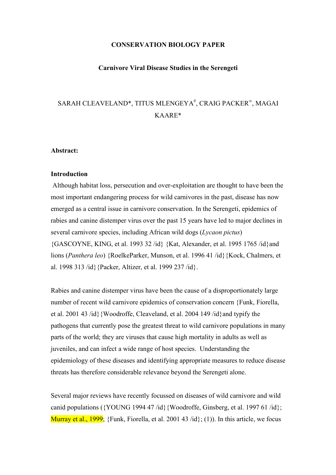### CONSERVATION BIOLOGY PAPER

#### Carnivore Viral Disease Studies in the Serengeti

# SARAH CLEAVELAND\*, TITUS MLENGEYA<sup>#</sup>, CRAIG PACKER<sup>∞</sup>, MAGAI KAARE\*

#### Abstract:

#### **Introduction**

 Although habitat loss, persecution and over-exploitation are thought to have been the most important endangering process for wild carnivores in the past, disease has now emerged as a central issue in carnivore conservation. In the Serengeti, epidemics of rabies and canine distemper virus over the past 15 years have led to major declines in several carnivore species, including African wild dogs (Lycaon pictus) {GASCOYNE, KING, et al. 1993 32 /id} {Kat, Alexander, et al. 1995 1765 /id}and lions (Panthera leo) {RoelkeParker, Munson, et al. 1996 41 /id}{Kock, Chalmers, et al. 1998 313 /id}{Packer, Altizer, et al. 1999 237 /id}.

Rabies and canine distemper virus have been the cause of a disproportionately large number of recent wild carnivore epidemics of conservation concern {Funk, Fiorella, et al. 2001 43 /id}{Woodroffe, Cleaveland, et al. 2004 149 /id}and typify the pathogens that currently pose the greatest threat to wild carnivore populations in many parts of the world; they are viruses that cause high mortality in adults as well as juveniles, and can infect a wide range of host species. Understanding the epidemiology of these diseases and identifying appropriate measures to reduce disease threats has therefore considerable relevance beyond the Serengeti alone.

Several major reviews have recently focussed on diseases of wild carnivore and wild canid populations ( ${YOUNG 1994 47 /id}$  {Woodroffe, Ginsberg, et al. 1997 61/id}; Murray et al., 1999; {Funk, Fiorella, et al. 2001 43 /id}; (1)). In this article, we focus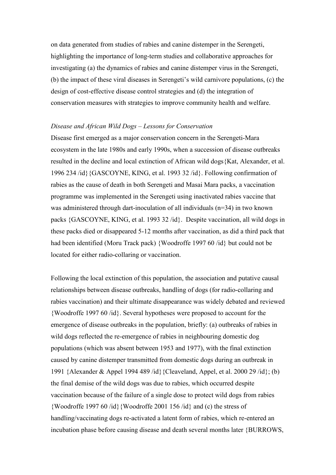on data generated from studies of rabies and canine distemper in the Serengeti, highlighting the importance of long-term studies and collaborative approaches for investigating (a) the dynamics of rabies and canine distemper virus in the Serengeti, (b) the impact of these viral diseases in Serengeti's wild carnivore populations, (c) the design of cost-effective disease control strategies and (d) the integration of conservation measures with strategies to improve community health and welfare.

# Disease and African Wild Dogs – Lessons for Conservation

Disease first emerged as a major conservation concern in the Serengeti-Mara ecosystem in the late 1980s and early 1990s, when a succession of disease outbreaks resulted in the decline and local extinction of African wild dogs{Kat, Alexander, et al. 1996 234 /id}{GASCOYNE, KING, et al. 1993 32 /id}. Following confirmation of rabies as the cause of death in both Serengeti and Masai Mara packs, a vaccination programme was implemented in the Serengeti using inactivated rabies vaccine that was administered through dart-inoculation of all individuals (n=34) in two known packs {GASCOYNE, KING, et al. 1993 32 /id}. Despite vaccination, all wild dogs in these packs died or disappeared 5-12 months after vaccination, as did a third pack that had been identified (Moru Track pack) {Woodroffe 1997 60 /id} but could not be located for either radio-collaring or vaccination.

Following the local extinction of this population, the association and putative causal relationships between disease outbreaks, handling of dogs (for radio-collaring and rabies vaccination) and their ultimate disappearance was widely debated and reviewed {Woodroffe 1997 60 /id}. Several hypotheses were proposed to account for the emergence of disease outbreaks in the population, briefly: (a) outbreaks of rabies in wild dogs reflected the re-emergence of rabies in neighbouring domestic dog populations (which was absent between 1953 and 1977), with the final extinction caused by canine distemper transmitted from domestic dogs during an outbreak in 1991 {Alexander & Appel 1994 489 /id}{Cleaveland, Appel, et al. 2000 29 /id}; (b) the final demise of the wild dogs was due to rabies, which occurred despite vaccination because of the failure of a single dose to protect wild dogs from rabies {Woodroffe 1997 60 /id}{Woodroffe 2001 156 /id} and (c) the stress of handling/vaccinating dogs re-activated a latent form of rabies, which re-entered an incubation phase before causing disease and death several months later {BURROWS,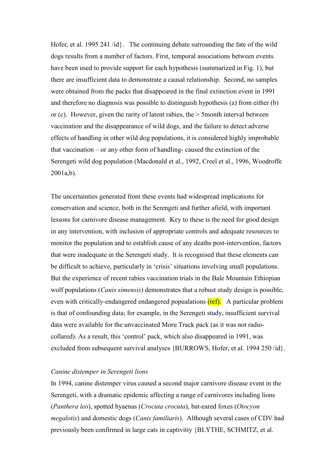Hofer, et al. 1995 241 /id}. The continuing debate surrounding the fate of the wild dogs results from a number of factors. First, temporal associations between events have been used to provide support for each hypothesis (summarized in Fig. 1), but there are insufficient data to demonstrate a causal relationship. Second, no samples were obtained from the packs that disappeared in the final extinction event in 1991 and therefore no diagnosis was possible to distinguish hypothesis (a) from either (b) or (c). However, given the rarity of latent rabies, the > 5month interval between vaccination and the disappearance of wild dogs, and the failure to detect adverse effects of handling in other wild dog populations, it is considered highly improbable that vaccination – or any other form of handling- caused the extinction of the Serengeti wild dog population (Macdonald et al., 1992, Creel et al., 1996, Woodroffe 2001a,b).

The uncertainties generated from these events had widespread implications for conservation and science, both in the Serengeti and further afield, with important lessons for carnivore disease management. Key to these is the need for good design in any intervention, with inclusion of appropriate controls and adequate resources to monitor the population and to establish cause of any deaths post-intervention, factors that were inadequate in the Serengeti study. It is recognised that these elements can be difficult to achieve, particularly in 'crisis' situations involving small populations. But the experience of recent rabies vaccination trials in the Bale Mountain Ethiopian wolf populations (*Canis simensis*) demonstrates that a robust study design is possible, even with critically-endangered endangered popualations (ref). A particular problem is that of confounding data; for example, in the Serengeti study, insufficient survival data were available for the unvaccinated Moru Track pack (as it was not radiocollared). As a result, this 'control' pack, which also disappeared in 1991, was excluded from subsequent survival analyses {BURROWS, Hofer, et al. 1994 250 /id}.

### Canine distemper in Serengeti lions

In 1994, canine distemper virus caused a second major carnivore disease event in the Serengeti, with a dramatic epidemic affecting a range of carnivores including lions (Panthera leo), spotted hyaenas (Crocuta crocuta), bat-eared foxes (Otocyon megalotis) and domestic dogs (Canis familiaris). Although several cases of CDV had previously been confirmed in large cats in captivitiy {BLYTHE, SCHMITZ, et al.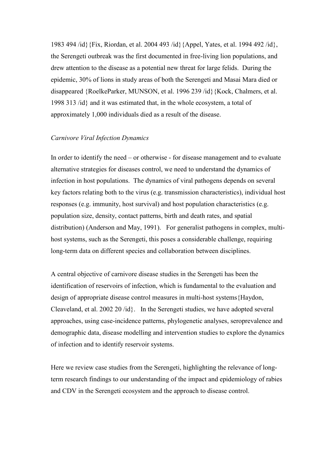1983 494 /id}{Fix, Riordan, et al. 2004 493 /id}{Appel, Yates, et al. 1994 492 /id}, the Serengeti outbreak was the first documented in free-living lion populations, and drew attention to the disease as a potential new threat for large felids. During the epidemic, 30% of lions in study areas of both the Serengeti and Masai Mara died or disappeared {RoelkeParker, MUNSON, et al. 1996 239 /id}{Kock, Chalmers, et al. 1998 313 /id} and it was estimated that, in the whole ecosystem, a total of approximately 1,000 individuals died as a result of the disease.

## Carnivore Viral Infection Dynamics

In order to identify the need – or otherwise - for disease management and to evaluate alternative strategies for diseases control, we need to understand the dynamics of infection in host populations. The dynamics of viral pathogens depends on several key factors relating both to the virus (e.g. transmission characteristics), individual host responses (e.g. immunity, host survival) and host population characteristics (e.g. population size, density, contact patterns, birth and death rates, and spatial distribution) (Anderson and May, 1991). For generalist pathogens in complex, multihost systems, such as the Serengeti, this poses a considerable challenge, requiring long-term data on different species and collaboration between disciplines.

A central objective of carnivore disease studies in the Serengeti has been the identification of reservoirs of infection, which is fundamental to the evaluation and design of appropriate disease control measures in multi-host systems{Haydon, Cleaveland, et al. 2002 20 /id}. In the Serengeti studies, we have adopted several approaches, using case-incidence patterns, phylogenetic analyses, seroprevalence and demographic data, disease modelling and intervention studies to explore the dynamics of infection and to identify reservoir systems.

Here we review case studies from the Serengeti, highlighting the relevance of longterm research findings to our understanding of the impact and epidemiology of rabies and CDV in the Serengeti ecosystem and the approach to disease control.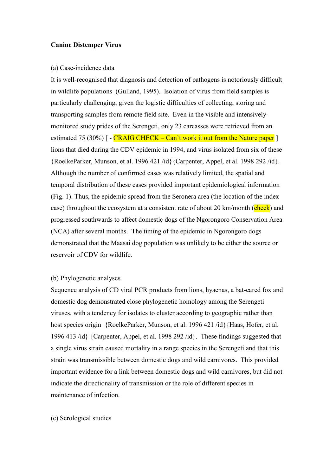## Canine Distemper Virus

#### (a) Case-incidence data

It is well-recognised that diagnosis and detection of pathogens is notoriously difficult in wildlife populations (Gulland, 1995). Isolation of virus from field samples is particularly challenging, given the logistic difficulties of collecting, storing and transporting samples from remote field site. Even in the visible and intensivelymonitored study prides of the Serengeti, only 23 carcasses were retrieved from an estimated 75 (30%)  $\lceil -\frac{CRAIGCHECK - Can't work it out from the Nature paper} \rceil$ lions that died during the CDV epidemic in 1994, and virus isolated from six of these {RoelkeParker, Munson, et al. 1996 421 /id}{Carpenter, Appel, et al. 1998 292 /id}. Although the number of confirmed cases was relatively limited, the spatial and temporal distribution of these cases provided important epidemiological information (Fig. 1). Thus, the epidemic spread from the Seronera area (the location of the index case) throughout the ecosystem at a consistent rate of about 20 km/month (check) and progressed southwards to affect domestic dogs of the Ngorongoro Conservation Area (NCA) after several months. The timing of the epidemic in Ngorongoro dogs demonstrated that the Maasai dog population was unlikely to be either the source or reservoir of CDV for wildlife.

## (b) Phylogenetic analyses

Sequence analysis of CD viral PCR products from lions, hyaenas, a bat-eared fox and domestic dog demonstrated close phylogenetic homology among the Serengeti viruses, with a tendency for isolates to cluster according to geographic rather than host species origin {RoelkeParker, Munson, et al. 1996 421 /id}{Haas, Hofer, et al. 1996 413 /id} {Carpenter, Appel, et al. 1998 292 /id}. These findings suggested that a single virus strain caused mortality in a range species in the Serengeti and that this strain was transmissible between domestic dogs and wild carnivores. This provided important evidence for a link between domestic dogs and wild carnivores, but did not indicate the directionality of transmission or the role of different species in maintenance of infection.

## (c) Serological studies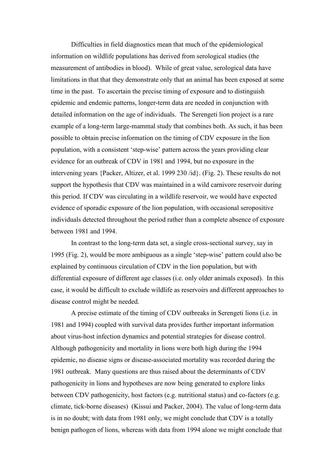Difficulties in field diagnostics mean that much of the epidemiological information on wildlife populations has derived from serological studies (the measurement of antibodies in blood). While of great value, serological data have limitations in that that they demonstrate only that an animal has been exposed at some time in the past. To ascertain the precise timing of exposure and to distinguish epidemic and endemic patterns, longer-term data are needed in conjunction with detailed information on the age of individuals. The Serengeti lion project is a rare example of a long-term large-mammal study that combines both. As such, it has been possible to obtain precise information on the timing of CDV exposure in the lion population, with a consistent 'step-wise' pattern across the years providing clear evidence for an outbreak of CDV in 1981 and 1994, but no exposure in the intervening years {Packer, Altizer, et al. 1999 230 /id}. (Fig. 2). These results do not support the hypothesis that CDV was maintained in a wild carnivore reservoir during this period. If CDV was circulating in a wildlife reservoir, we would have expected evidence of sporadic exposure of the lion population, with occasional seropositive individuals detected throughout the period rather than a complete absence of exposure between 1981 and 1994.

In contrast to the long-term data set, a single cross-sectional survey, say in 1995 (Fig. 2), would be more ambiguous as a single 'step-wise' pattern could also be explained by continuous circulation of CDV in the lion population, but with differential exposure of different age classes (i.e. only older animals exposed). In this case, it would be difficult to exclude wildlife as reservoirs and different approaches to disease control might be needed.

A precise estimate of the timing of CDV outbreaks in Serengeti lions (i.e. in 1981 and 1994) coupled with survival data provides further important information about virus-host infection dynamics and potential strategies for disease control. Although pathogenicity and mortality in lions were both high during the 1994 epidemic, no disease signs or disease-associated mortality was recorded during the 1981 outbreak. Many questions are thus raised about the determinants of CDV pathogenicity in lions and hypotheses are now being generated to explore links between CDV pathogenicity, host factors (e.g. nutritional status) and co-factors (e.g. climate, tick-borne diseases) (Kissui and Packer, 2004). The value of long-term data is in no doubt; with data from 1981 only, we might conclude that CDV is a totally benign pathogen of lions, whereas with data from 1994 alone we might conclude that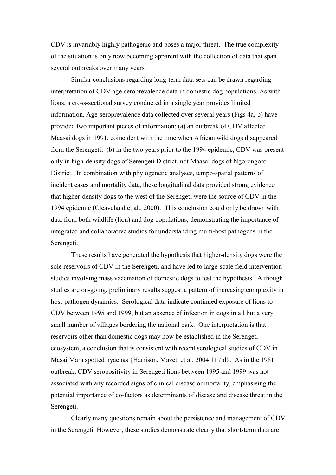CDV is invariably highly pathogenic and poses a major threat. The true complexity of the situation is only now becoming apparent with the collection of data that span several outbreaks over many years.

Similar conclusions regarding long-term data sets can be drawn regarding interpretation of CDV age-seroprevalence data in domestic dog populations. As with lions, a cross-sectional survey conducted in a single year provides limited information. Age-seroprevalence data collected over several years (Figs 4a, b) have provided two important pieces of information: (a) an outbreak of CDV affected Maasai dogs in 1991, coincident with the time when African wild dogs disappeared from the Serengeti; (b) in the two years prior to the 1994 epidemic, CDV was present only in high-density dogs of Serengeti District, not Maasai dogs of Ngorongoro District. In combination with phylogenetic analyses, tempo-spatial patterns of incident cases and mortality data, these longitudinal data provided strong evidence that higher-density dogs to the west of the Serengeti were the source of CDV in the 1994 epidemic (Cleaveland et al., 2000). This conclusion could only be drawn with data from both wildlife (lion) and dog populations, demonstrating the importance of integrated and collaborative studies for understanding multi-host pathogens in the Serengeti.

These results have generated the hypothesis that higher-density dogs were the sole reservoirs of CDV in the Serengeti, and have led to large-scale field intervention studies involving mass vaccination of domestic dogs to test the hypothesis. Although studies are on-going, preliminary results suggest a pattern of increasing complexity in host-pathogen dynamics. Serological data indicate continued exposure of lions to CDV between 1995 and 1999, but an absence of infection in dogs in all but a very small number of villages bordering the national park. One interpretation is that reservoirs other than domestic dogs may now be established in the Serengeti ecosystem, a conclusion that is consistent with recent serological studies of CDV in Masai Mara spotted hyaenas {Harrison, Mazet, et al. 2004 11 /id}. As in the 1981 outbreak, CDV seropositivity in Serengeti lions between 1995 and 1999 was not associated with any recorded signs of clinical disease or mortality, emphasising the potential importance of co-factors as determinants of disease and disease threat in the Serengeti.

Clearly many questions remain about the persistence and management of CDV in the Serengeti. However, these studies demonstrate clearly that short-term data are